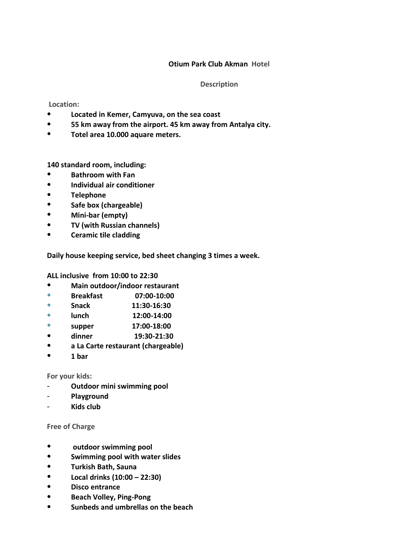# **Otium Park Club Akman Hotel**

### **Description**

## **Location:**

- **Located in Kemer, Camyuva, on the sea coast**
- **55 km away from the airport. 45 km away from Antalya city.**
- **Totel area 10.000 aquare meters.**

**140 standard room, including:** 

- **Bathroom with Fan**
- **Individual air conditioner**
- **Telephone**
- **Safe box (chargeable)**
- **Mini-bar (empty)**
- **TV (with Russian channels)**
- **Ceramic tile cladding**

**Daily house keeping service, bed sheet changing 3 times a week.** 

**ALL inclusive from 10:00 to 22:30**

- **Main outdoor/indoor restaurant**
- **Breakfast 07:00-10:00**
- **Snack 11:30-16:30**
- **lunch 12:00-14:00**
- **supper 17:00-18:00**
- **dinner 19:30-21:30**
- **a La Carte restaurant (chargeable)**
- **1 bar**

#### **For your kids:**

- **Outdoor mini swimming pool**
- **Playground**
- **Kids club**

## **Free of Charge**

- **outdoor swimming pool**
- **Swimming pool with water slides**
- **Turkish Bath, Sauna**
- **Local drinks (10:00 – 22:30)**
- **Disco entrance**
- **Beach Volley, Ping-Pong**
- **Sunbeds and umbrellas on the beach**